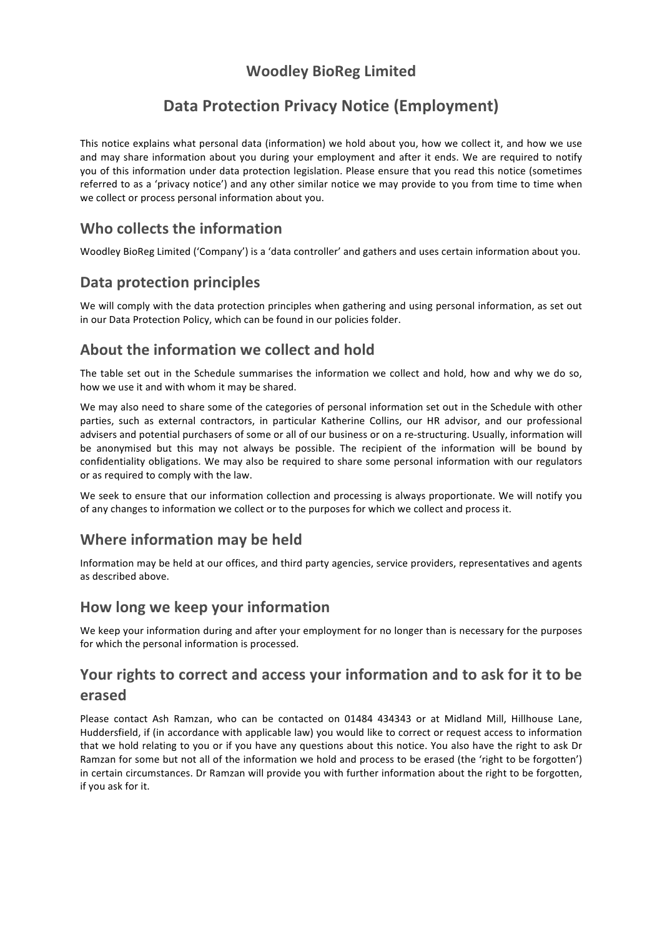# **Woodley BioReg Limited**

# **Data Protection Privacy Notice (Employment)**

This notice explains what personal data (information) we hold about you, how we collect it, and how we use and may share information about you during your employment and after it ends. We are required to notify you of this information under data protection legislation. Please ensure that you read this notice (sometimes referred to as a 'privacy notice') and any other similar notice we may provide to you from time to time when we collect or process personal information about you.

### **Who collects the information**

Woodley BioReg Limited ('Company') is a 'data controller' and gathers and uses certain information about you.

# **Data protection principles**

We will comply with the data protection principles when gathering and using personal information, as set out in our Data Protection Policy, which can be found in our policies folder.

### **About the information we collect and hold**

The table set out in the Schedule summarises the information we collect and hold, how and why we do so, how we use it and with whom it may be shared.

We may also need to share some of the categories of personal information set out in the Schedule with other parties, such as external contractors, in particular Katherine Collins, our HR advisor, and our professional advisers and potential purchasers of some or all of our business or on a re-structuring. Usually, information will be anonymised but this may not always be possible. The recipient of the information will be bound by confidentiality obligations. We may also be required to share some personal information with our regulators or as required to comply with the law.

We seek to ensure that our information collection and processing is always proportionate. We will notify you of any changes to information we collect or to the purposes for which we collect and process it.

# **Where information may be held**

Information may be held at our offices, and third party agencies, service providers, representatives and agents as described above.

#### **How long we keep your information**

We keep your information during and after your employment for no longer than is necessary for the purposes for which the personal information is processed.

## **Your rights to correct and access your information and to ask for it to be erased**

Please contact Ash Ramzan, who can be contacted on 01484 434343 or at Midland Mill, Hillhouse Lane, Huddersfield, if (in accordance with applicable law) you would like to correct or request access to information that we hold relating to you or if you have any questions about this notice. You also have the right to ask Dr Ramzan for some but not all of the information we hold and process to be erased (the 'right to be forgotten') in certain circumstances. Dr Ramzan will provide you with further information about the right to be forgotten, if you ask for it.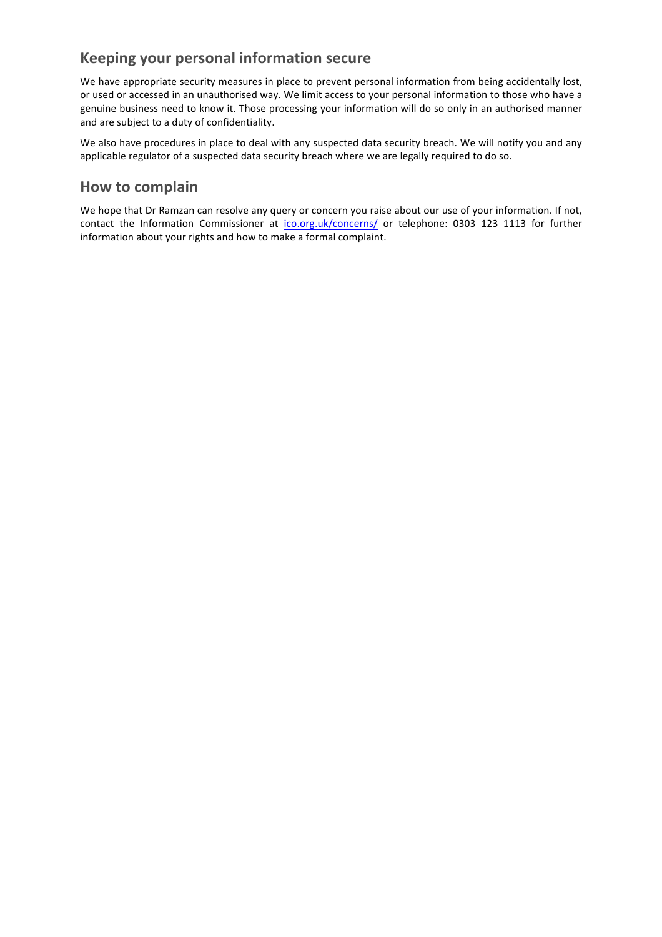## **Keeping your personal information secure**

We have appropriate security measures in place to prevent personal information from being accidentally lost, or used or accessed in an unauthorised way. We limit access to your personal information to those who have a genuine business need to know it. Those processing your information will do so only in an authorised manner and are subject to a duty of confidentiality.

We also have procedures in place to deal with any suspected data security breach. We will notify you and any applicable regulator of a suspected data security breach where we are legally required to do so.

### **How to complain**

We hope that Dr Ramzan can resolve any query or concern you raise about our use of your information. If not, contact the Information Commissioner at ico.org.uk/concerns/ or telephone: 0303 123 1113 for further information about your rights and how to make a formal complaint.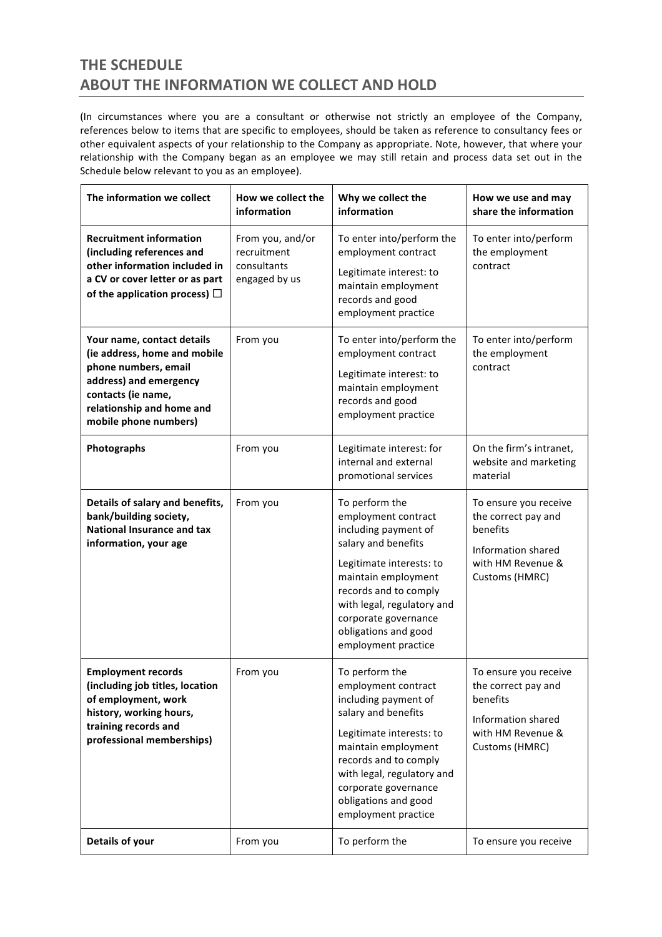# **THE SCHEDULE ABOUT THE INFORMATION WE COLLECT AND HOLD**

(In circumstances where you are a consultant or otherwise not strictly an employee of the Company, references below to items that are specific to employees, should be taken as reference to consultancy fees or other equivalent aspects of your relationship to the Company as appropriate. Note, however, that where your relationship with the Company began as an employee we may still retain and process data set out in the Schedule below relevant to you as an employee).

| The information we collect                                                                                                                                                               | How we collect the<br>information                               | Why we collect the<br>information                                                                                                                                                                                                                                     | How we use and may<br>share the information                                                                           |
|------------------------------------------------------------------------------------------------------------------------------------------------------------------------------------------|-----------------------------------------------------------------|-----------------------------------------------------------------------------------------------------------------------------------------------------------------------------------------------------------------------------------------------------------------------|-----------------------------------------------------------------------------------------------------------------------|
| <b>Recruitment information</b><br>(including references and<br>other information included in<br>a CV or cover letter or as part<br>of the application process) $\Box$                    | From you, and/or<br>recruitment<br>consultants<br>engaged by us | To enter into/perform the<br>employment contract<br>Legitimate interest: to<br>maintain employment<br>records and good<br>employment practice                                                                                                                         | To enter into/perform<br>the employment<br>contract                                                                   |
| Your name, contact details<br>(ie address, home and mobile<br>phone numbers, email<br>address) and emergency<br>contacts (ie name,<br>relationship and home and<br>mobile phone numbers) | From you                                                        | To enter into/perform the<br>employment contract<br>Legitimate interest: to<br>maintain employment<br>records and good<br>employment practice                                                                                                                         | To enter into/perform<br>the employment<br>contract                                                                   |
| Photographs                                                                                                                                                                              | From you                                                        | Legitimate interest: for<br>internal and external<br>promotional services                                                                                                                                                                                             | On the firm's intranet,<br>website and marketing<br>material                                                          |
| Details of salary and benefits,<br>bank/building society,<br><b>National Insurance and tax</b><br>information, your age                                                                  | From you                                                        | To perform the<br>employment contract<br>including payment of<br>salary and benefits<br>Legitimate interests: to<br>maintain employment<br>records and to comply<br>with legal, regulatory and<br>corporate governance<br>obligations and good<br>employment practice | To ensure you receive<br>the correct pay and<br>benefits<br>Information shared<br>with HM Revenue &<br>Customs (HMRC) |
| <b>Employment records</b><br>(including job titles, location)<br>of employment, work<br>history, working hours,<br>training records and<br>professional memberships)                     | From you                                                        | To perform the<br>employment contract<br>including payment of<br>salary and benefits<br>Legitimate interests: to<br>maintain employment<br>records and to comply<br>with legal, regulatory and<br>corporate governance<br>obligations and good<br>employment practice | To ensure you receive<br>the correct pay and<br>benefits<br>Information shared<br>with HM Revenue &<br>Customs (HMRC) |
| <b>Details of your</b>                                                                                                                                                                   | From you                                                        | To perform the                                                                                                                                                                                                                                                        | To ensure you receive                                                                                                 |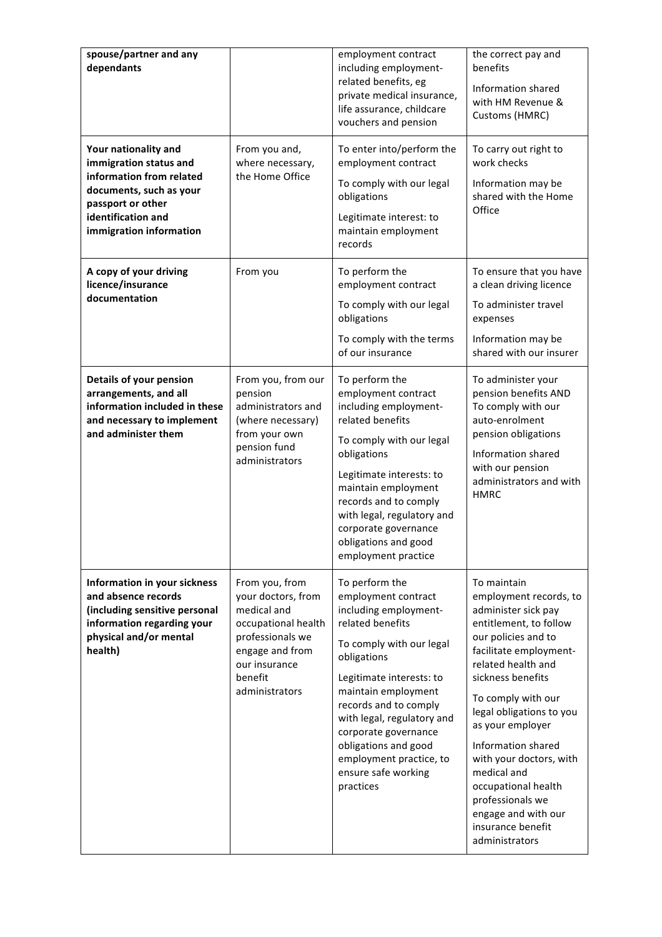| spouse/partner and any<br>dependants<br>Your nationality and<br>immigration status and<br>information from related<br>documents, such as your<br>passport or other<br>identification and<br>immigration information | From you and,<br>where necessary,<br>the Home Office                                                                                                            | employment contract<br>including employment-<br>related benefits, eg<br>private medical insurance,<br>life assurance, childcare<br>vouchers and pension<br>To enter into/perform the<br>employment contract<br>To comply with our legal<br>obligations<br>Legitimate interest: to<br>maintain employment<br>records                                    | the correct pay and<br>benefits<br>Information shared<br>with HM Revenue &<br>Customs (HMRC)<br>To carry out right to<br>work checks<br>Information may be<br>shared with the Home<br>Office                                                                                                                                                                                                                                      |
|---------------------------------------------------------------------------------------------------------------------------------------------------------------------------------------------------------------------|-----------------------------------------------------------------------------------------------------------------------------------------------------------------|--------------------------------------------------------------------------------------------------------------------------------------------------------------------------------------------------------------------------------------------------------------------------------------------------------------------------------------------------------|-----------------------------------------------------------------------------------------------------------------------------------------------------------------------------------------------------------------------------------------------------------------------------------------------------------------------------------------------------------------------------------------------------------------------------------|
| A copy of your driving<br>licence/insurance<br>documentation                                                                                                                                                        | From you                                                                                                                                                        | To perform the<br>employment contract<br>To comply with our legal<br>obligations<br>To comply with the terms<br>of our insurance                                                                                                                                                                                                                       | To ensure that you have<br>a clean driving licence<br>To administer travel<br>expenses<br>Information may be<br>shared with our insurer                                                                                                                                                                                                                                                                                           |
| Details of your pension<br>arrangements, and all<br>information included in these<br>and necessary to implement<br>and administer them                                                                              | From you, from our<br>pension<br>administrators and<br>(where necessary)<br>from your own<br>pension fund<br>administrators                                     | To perform the<br>employment contract<br>including employment-<br>related benefits<br>To comply with our legal<br>obligations<br>Legitimate interests: to<br>maintain employment<br>records and to comply<br>with legal, regulatory and<br>corporate governance<br>obligations and good<br>employment practice                                         | To administer your<br>pension benefits AND<br>To comply with our<br>auto-enrolment<br>pension obligations<br>Information shared<br>with our pension<br>administrators and with<br><b>HMRC</b>                                                                                                                                                                                                                                     |
| Information in your sickness<br>and absence records<br>(including sensitive personal<br>information regarding your<br>physical and/or mental<br>health)                                                             | From you, from<br>your doctors, from<br>medical and<br>occupational health<br>professionals we<br>engage and from<br>our insurance<br>benefit<br>administrators | To perform the<br>employment contract<br>including employment-<br>related benefits<br>To comply with our legal<br>obligations<br>Legitimate interests: to<br>maintain employment<br>records and to comply<br>with legal, regulatory and<br>corporate governance<br>obligations and good<br>employment practice, to<br>ensure safe working<br>practices | To maintain<br>employment records, to<br>administer sick pay<br>entitlement, to follow<br>our policies and to<br>facilitate employment-<br>related health and<br>sickness benefits<br>To comply with our<br>legal obligations to you<br>as your employer<br>Information shared<br>with your doctors, with<br>medical and<br>occupational health<br>professionals we<br>engage and with our<br>insurance benefit<br>administrators |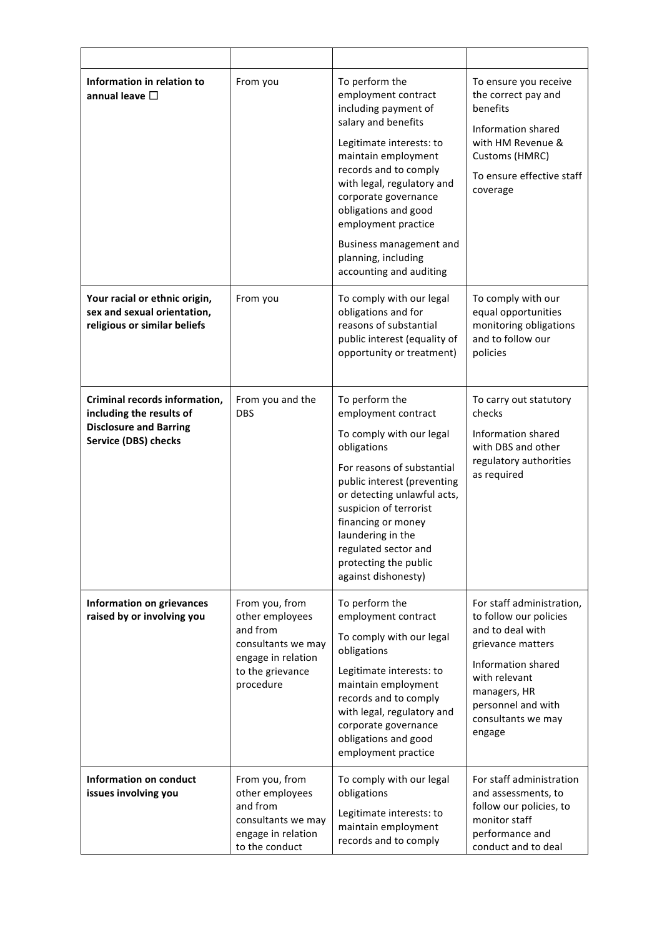| Information in relation to<br>annual leave $\square$                                                                      | From you                                                                                                                   | To perform the<br>employment contract<br>including payment of<br>salary and benefits<br>Legitimate interests: to<br>maintain employment<br>records and to comply<br>with legal, regulatory and<br>corporate governance<br>obligations and good<br>employment practice<br>Business management and<br>planning, including<br>accounting and auditing | To ensure you receive<br>the correct pay and<br>benefits<br>Information shared<br>with HM Revenue &<br>Customs (HMRC)<br>To ensure effective staff<br>coverage                                            |
|---------------------------------------------------------------------------------------------------------------------------|----------------------------------------------------------------------------------------------------------------------------|----------------------------------------------------------------------------------------------------------------------------------------------------------------------------------------------------------------------------------------------------------------------------------------------------------------------------------------------------|-----------------------------------------------------------------------------------------------------------------------------------------------------------------------------------------------------------|
| Your racial or ethnic origin,<br>sex and sexual orientation,<br>religious or similar beliefs                              | From you                                                                                                                   | To comply with our legal<br>obligations and for<br>reasons of substantial<br>public interest (equality of<br>opportunity or treatment)                                                                                                                                                                                                             | To comply with our<br>equal opportunities<br>monitoring obligations<br>and to follow our<br>policies                                                                                                      |
| Criminal records information,<br>including the results of<br><b>Disclosure and Barring</b><br><b>Service (DBS) checks</b> | From you and the<br><b>DBS</b>                                                                                             | To perform the<br>employment contract<br>To comply with our legal<br>obligations<br>For reasons of substantial<br>public interest (preventing<br>or detecting unlawful acts,<br>suspicion of terrorist<br>financing or money<br>laundering in the<br>regulated sector and<br>protecting the public                                                 | To carry out statutory<br>checks<br>Information shared<br>with DBS and other<br>regulatory authorities<br>as required                                                                                     |
| Information on grievances<br>raised by or involving you                                                                   | From you, from<br>other employees<br>and from<br>consultants we may<br>engage in relation<br>to the grievance<br>procedure | against dishonesty)<br>To perform the<br>employment contract<br>To comply with our legal<br>obligations<br>Legitimate interests: to<br>maintain employment<br>records and to comply<br>with legal, regulatory and<br>corporate governance<br>obligations and good<br>employment practice                                                           | For staff administration,<br>to follow our policies<br>and to deal with<br>grievance matters<br>Information shared<br>with relevant<br>managers, HR<br>personnel and with<br>consultants we may<br>engage |
| Information on conduct<br>issues involving you                                                                            | From you, from<br>other employees<br>and from<br>consultants we may<br>engage in relation<br>to the conduct                | To comply with our legal<br>obligations<br>Legitimate interests: to<br>maintain employment<br>records and to comply                                                                                                                                                                                                                                | For staff administration<br>and assessments, to<br>follow our policies, to<br>monitor staff<br>performance and<br>conduct and to deal                                                                     |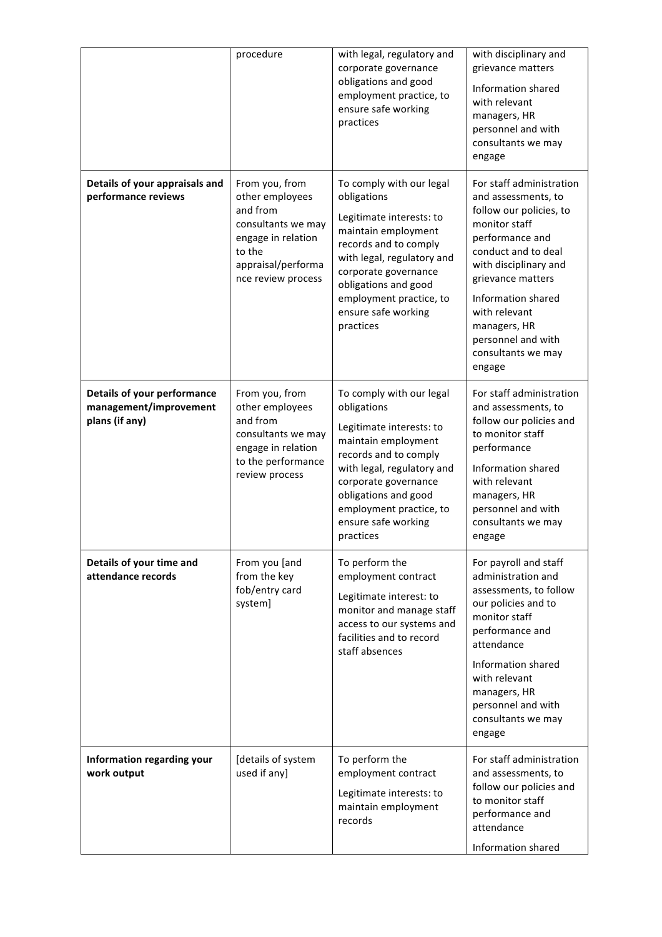|                                                                         | procedure                                                                                                                                       | with legal, regulatory and<br>corporate governance<br>obligations and good<br>employment practice, to<br>ensure safe working<br>practices                                                                                                                        | with disciplinary and<br>grievance matters<br>Information shared<br>with relevant<br>managers, HR<br>personnel and with<br>consultants we may<br>engage                                                                                                                                          |
|-------------------------------------------------------------------------|-------------------------------------------------------------------------------------------------------------------------------------------------|------------------------------------------------------------------------------------------------------------------------------------------------------------------------------------------------------------------------------------------------------------------|--------------------------------------------------------------------------------------------------------------------------------------------------------------------------------------------------------------------------------------------------------------------------------------------------|
| Details of your appraisals and<br>performance reviews                   | From you, from<br>other employees<br>and from<br>consultants we may<br>engage in relation<br>to the<br>appraisal/performa<br>nce review process | To comply with our legal<br>obligations<br>Legitimate interests: to<br>maintain employment<br>records and to comply<br>with legal, regulatory and<br>corporate governance<br>obligations and good<br>employment practice, to<br>ensure safe working<br>practices | For staff administration<br>and assessments, to<br>follow our policies, to<br>monitor staff<br>performance and<br>conduct and to deal<br>with disciplinary and<br>grievance matters<br>Information shared<br>with relevant<br>managers, HR<br>personnel and with<br>consultants we may<br>engage |
| Details of your performance<br>management/improvement<br>plans (if any) | From you, from<br>other employees<br>and from<br>consultants we may<br>engage in relation<br>to the performance<br>review process               | To comply with our legal<br>obligations<br>Legitimate interests: to<br>maintain employment<br>records and to comply<br>with legal, regulatory and<br>corporate governance<br>obligations and good<br>employment practice, to<br>ensure safe working<br>practices | For staff administration<br>and assessments, to<br>follow our policies and<br>to monitor staff<br>performance<br>Information shared<br>with relevant<br>managers, HR<br>personnel and with<br>consultants we may<br>engage                                                                       |
| Details of your time and<br>attendance records                          | From you [and<br>from the key<br>fob/entry card<br>system]                                                                                      | To perform the<br>employment contract<br>Legitimate interest: to<br>monitor and manage staff<br>access to our systems and<br>facilities and to record<br>staff absences                                                                                          | For payroll and staff<br>administration and<br>assessments, to follow<br>our policies and to<br>monitor staff<br>performance and<br>attendance<br>Information shared<br>with relevant<br>managers, HR<br>personnel and with<br>consultants we may<br>engage                                      |
| Information regarding your<br>work output                               | [details of system<br>used if any]                                                                                                              | To perform the<br>employment contract<br>Legitimate interests: to<br>maintain employment<br>records                                                                                                                                                              | For staff administration<br>and assessments, to<br>follow our policies and<br>to monitor staff<br>performance and<br>attendance<br>Information shared                                                                                                                                            |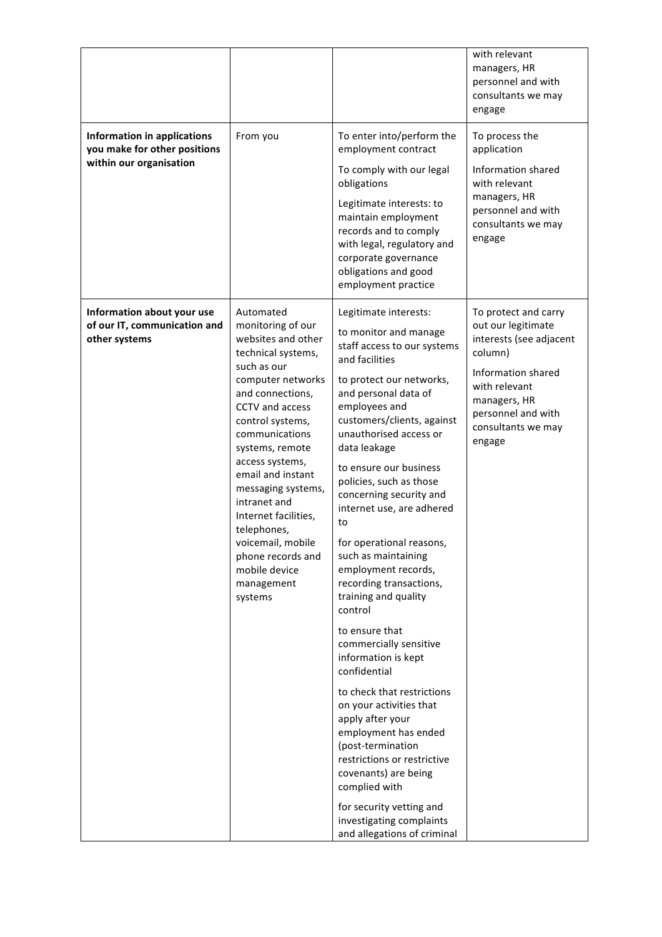| Information in applications<br>you make for other positions<br>within our organisation | From you                                                                                                                                                                                                                                                                                                                                                                                                                | To enter into/perform the<br>employment contract<br>To comply with our legal<br>obligations<br>Legitimate interests: to<br>maintain employment<br>records and to comply<br>with legal, regulatory and<br>corporate governance<br>obligations and good<br>employment practice                                                                                                                                                                                                                                                                                                                                                                                                                                                                                                                                                                                                        | with relevant<br>managers, HR<br>personnel and with<br>consultants we may<br>engage<br>To process the<br>application<br>Information shared<br>with relevant<br>managers, HR<br>personnel and with<br>consultants we may<br>engage |
|----------------------------------------------------------------------------------------|-------------------------------------------------------------------------------------------------------------------------------------------------------------------------------------------------------------------------------------------------------------------------------------------------------------------------------------------------------------------------------------------------------------------------|-------------------------------------------------------------------------------------------------------------------------------------------------------------------------------------------------------------------------------------------------------------------------------------------------------------------------------------------------------------------------------------------------------------------------------------------------------------------------------------------------------------------------------------------------------------------------------------------------------------------------------------------------------------------------------------------------------------------------------------------------------------------------------------------------------------------------------------------------------------------------------------|-----------------------------------------------------------------------------------------------------------------------------------------------------------------------------------------------------------------------------------|
| Information about your use<br>of our IT, communication and<br>other systems            | Automated<br>monitoring of our<br>websites and other<br>technical systems,<br>such as our<br>computer networks<br>and connections,<br>CCTV and access<br>control systems,<br>communications<br>systems, remote<br>access systems,<br>email and instant<br>messaging systems,<br>intranet and<br>Internet facilities,<br>telephones,<br>voicemail, mobile<br>phone records and<br>mobile device<br>management<br>systems | Legitimate interests:<br>to monitor and manage<br>staff access to our systems<br>and facilities<br>to protect our networks,<br>and personal data of<br>employees and<br>customers/clients, against<br>unauthorised access or<br>data leakage<br>to ensure our business<br>policies, such as those<br>concerning security and<br>internet use, are adhered<br>to<br>for operational reasons,<br>such as maintaining<br>employment records,<br>recording transactions,<br>training and quality<br>control<br>to ensure that<br>commercially sensitive<br>information is kept<br>confidential<br>to check that restrictions<br>on your activities that<br>apply after your<br>employment has ended<br>(post-termination<br>restrictions or restrictive<br>covenants) are being<br>complied with<br>for security vetting and<br>investigating complaints<br>and allegations of criminal | To protect and carry<br>out our legitimate<br>interests (see adjacent<br>column)<br>Information shared<br>with relevant<br>managers, HR<br>personnel and with<br>consultants we may<br>engage                                     |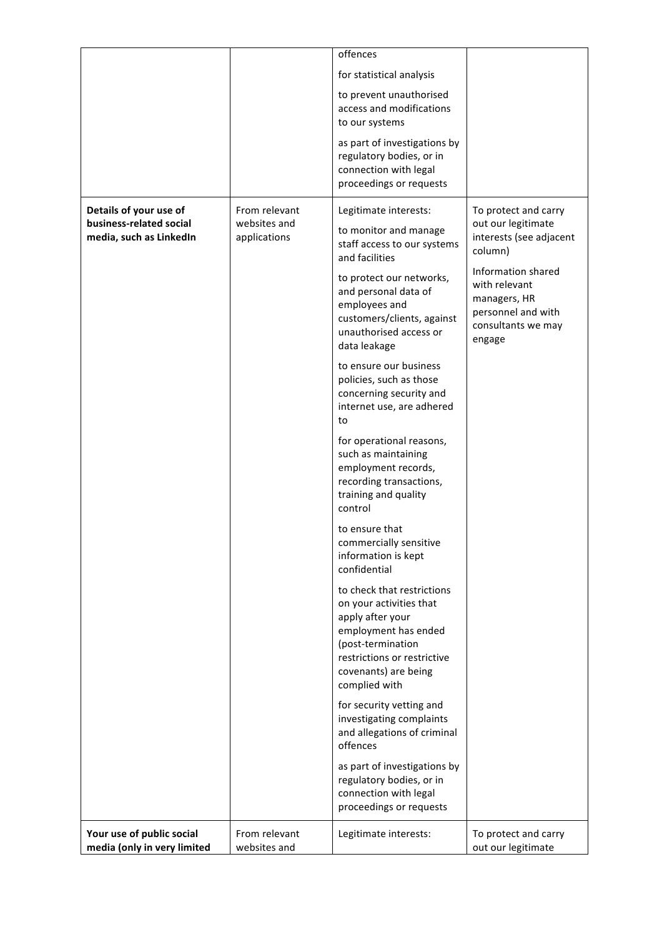|                                                          |                               | offences                                                                                                                                                                                       |                                                                                                           |
|----------------------------------------------------------|-------------------------------|------------------------------------------------------------------------------------------------------------------------------------------------------------------------------------------------|-----------------------------------------------------------------------------------------------------------|
|                                                          |                               | for statistical analysis                                                                                                                                                                       |                                                                                                           |
|                                                          |                               | to prevent unauthorised<br>access and modifications<br>to our systems                                                                                                                          |                                                                                                           |
|                                                          |                               | as part of investigations by<br>regulatory bodies, or in<br>connection with legal<br>proceedings or requests                                                                                   |                                                                                                           |
| Details of your use of                                   | From relevant                 | Legitimate interests:                                                                                                                                                                          | To protect and carry                                                                                      |
| business-related social<br>media, such as LinkedIn       | websites and<br>applications  | to monitor and manage<br>staff access to our systems<br>and facilities                                                                                                                         | out our legitimate<br>interests (see adjacent<br>column)                                                  |
|                                                          |                               | to protect our networks,<br>and personal data of<br>employees and<br>customers/clients, against<br>unauthorised access or<br>data leakage                                                      | Information shared<br>with relevant<br>managers, HR<br>personnel and with<br>consultants we may<br>engage |
|                                                          |                               | to ensure our business<br>policies, such as those<br>concerning security and<br>internet use, are adhered<br>to                                                                                |                                                                                                           |
|                                                          |                               | for operational reasons,<br>such as maintaining<br>employment records,<br>recording transactions,<br>training and quality<br>control                                                           |                                                                                                           |
|                                                          |                               | to ensure that<br>commercially sensitive<br>information is kept<br>confidential                                                                                                                |                                                                                                           |
|                                                          |                               | to check that restrictions<br>on your activities that<br>apply after your<br>employment has ended<br>(post-termination<br>restrictions or restrictive<br>covenants) are being<br>complied with |                                                                                                           |
|                                                          |                               | for security vetting and<br>investigating complaints<br>and allegations of criminal<br>offences                                                                                                |                                                                                                           |
|                                                          |                               | as part of investigations by<br>regulatory bodies, or in<br>connection with legal<br>proceedings or requests                                                                                   |                                                                                                           |
| Your use of public social<br>media (only in very limited | From relevant<br>websites and | Legitimate interests:                                                                                                                                                                          | To protect and carry<br>out our legitimate                                                                |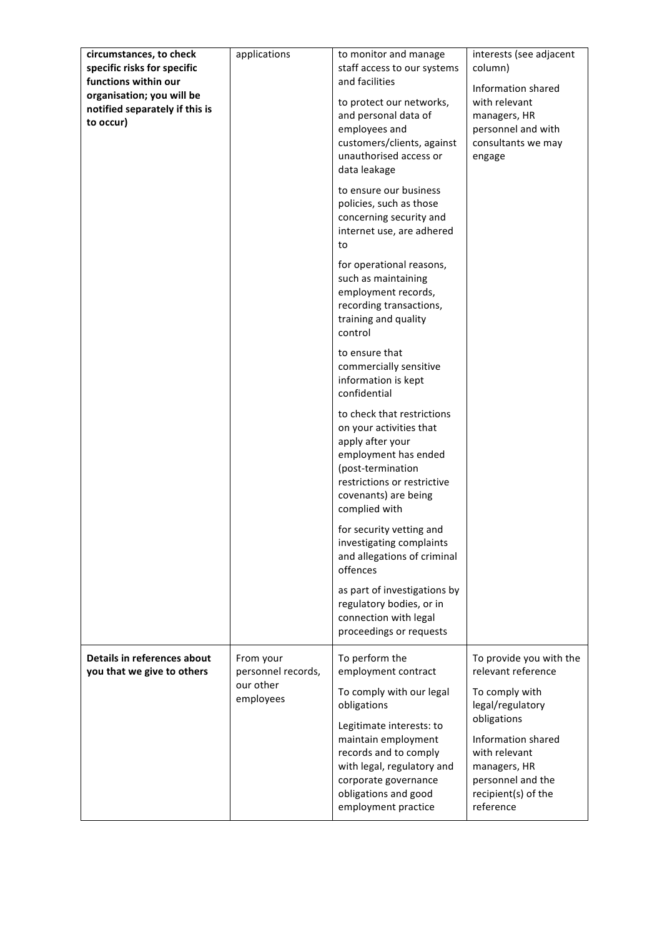| circumstances, to check<br>specific risks for specific<br>functions within our<br>organisation; you will be<br>notified separately if this is<br>to occur) | applications                    | to monitor and manage<br>staff access to our systems<br>and facilities<br>to protect our networks,<br>and personal data of<br>employees and<br>customers/clients, against<br>unauthorised access or<br>data leakage | interests (see adjacent<br>column)<br>Information shared<br>with relevant<br>managers, HR<br>personnel and with<br>consultants we may<br>engage |
|------------------------------------------------------------------------------------------------------------------------------------------------------------|---------------------------------|---------------------------------------------------------------------------------------------------------------------------------------------------------------------------------------------------------------------|-------------------------------------------------------------------------------------------------------------------------------------------------|
|                                                                                                                                                            |                                 | to ensure our business<br>policies, such as those<br>concerning security and<br>internet use, are adhered<br>to                                                                                                     |                                                                                                                                                 |
|                                                                                                                                                            |                                 | for operational reasons,<br>such as maintaining<br>employment records,<br>recording transactions,<br>training and quality<br>control                                                                                |                                                                                                                                                 |
|                                                                                                                                                            |                                 | to ensure that<br>commercially sensitive<br>information is kept<br>confidential                                                                                                                                     |                                                                                                                                                 |
|                                                                                                                                                            |                                 | to check that restrictions<br>on your activities that<br>apply after your<br>employment has ended<br>(post-termination<br>restrictions or restrictive<br>covenants) are being<br>complied with                      |                                                                                                                                                 |
|                                                                                                                                                            |                                 | for security vetting and<br>investigating complaints<br>and allegations of criminal<br>offences                                                                                                                     |                                                                                                                                                 |
|                                                                                                                                                            |                                 | as part of investigations by<br>regulatory bodies, or in<br>connection with legal<br>proceedings or requests                                                                                                        |                                                                                                                                                 |
| Details in references about<br>you that we give to others                                                                                                  | From your<br>personnel records, | To perform the<br>employment contract                                                                                                                                                                               | To provide you with the<br>relevant reference                                                                                                   |
|                                                                                                                                                            | our other<br>employees          | To comply with our legal<br>obligations                                                                                                                                                                             | To comply with<br>legal/regulatory<br>obligations                                                                                               |
|                                                                                                                                                            |                                 | Legitimate interests: to<br>maintain employment<br>records and to comply<br>with legal, regulatory and<br>corporate governance<br>obligations and good<br>employment practice                                       | Information shared<br>with relevant<br>managers, HR<br>personnel and the<br>recipient(s) of the<br>reference                                    |